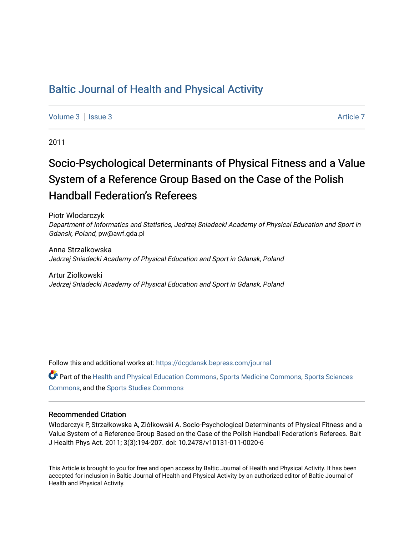# [Baltic Journal of Health and Physical Activity](https://dcgdansk.bepress.com/journal)

[Volume 3](https://dcgdansk.bepress.com/journal/vol3) | [Issue 3](https://dcgdansk.bepress.com/journal/vol3/iss3) Article 7

2011

# Socio-Psychological Determinants of Physical Fitness and a Value System of a Reference Group Based on the Case of the Polish **Handball Federation's Referees**

Piotr Wlodarczyk Department of Informatics and Statistics, Jedrzej Sniadecki Academy of Physical Education and Sport in Gdansk, Poland, pw@awf.gda.pl

Anna Strzalkowska Jedrzej Sniadecki Academy of Physical Education and Sport in Gdansk, Poland

Artur Ziolkowski Jedrzej Sniadecki Academy of Physical Education and Sport in Gdansk, Poland

Follow this and additional works at: [https://dcgdansk.bepress.com/journal](https://dcgdansk.bepress.com/journal?utm_source=dcgdansk.bepress.com%2Fjournal%2Fvol3%2Fiss3%2F7&utm_medium=PDF&utm_campaign=PDFCoverPages)

Part of the [Health and Physical Education Commons](http://network.bepress.com/hgg/discipline/1327?utm_source=dcgdansk.bepress.com%2Fjournal%2Fvol3%2Fiss3%2F7&utm_medium=PDF&utm_campaign=PDFCoverPages), [Sports Medicine Commons,](http://network.bepress.com/hgg/discipline/1331?utm_source=dcgdansk.bepress.com%2Fjournal%2Fvol3%2Fiss3%2F7&utm_medium=PDF&utm_campaign=PDFCoverPages) [Sports Sciences](http://network.bepress.com/hgg/discipline/759?utm_source=dcgdansk.bepress.com%2Fjournal%2Fvol3%2Fiss3%2F7&utm_medium=PDF&utm_campaign=PDFCoverPages) [Commons](http://network.bepress.com/hgg/discipline/759?utm_source=dcgdansk.bepress.com%2Fjournal%2Fvol3%2Fiss3%2F7&utm_medium=PDF&utm_campaign=PDFCoverPages), and the [Sports Studies Commons](http://network.bepress.com/hgg/discipline/1198?utm_source=dcgdansk.bepress.com%2Fjournal%2Fvol3%2Fiss3%2F7&utm_medium=PDF&utm_campaign=PDFCoverPages) 

#### Recommended Citation

Włodarczyk P, Strzałkowska A, Ziółkowski A. Socio-Psychological Determinants of Physical Fitness and a Value System of a Reference Group Based on the Case of the Polish Handball Federation's Referees. Balt J Health Phys Act. 2011; 3(3):194-207. doi: 10.2478/v10131-011-0020-6

This Article is brought to you for free and open access by Baltic Journal of Health and Physical Activity. It has been accepted for inclusion in Baltic Journal of Health and Physical Activity by an authorized editor of Baltic Journal of Health and Physical Activity.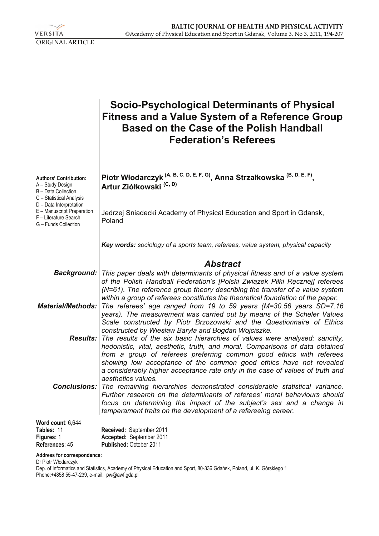

|                                                                                                        | Socio-Psychological Determinants of Physical<br><b>Fitness and a Value System of a Reference Group</b><br><b>Based on the Case of the Polish Handball</b><br><b>Federation's Referees</b>                                                                                                                                                                                                           |
|--------------------------------------------------------------------------------------------------------|-----------------------------------------------------------------------------------------------------------------------------------------------------------------------------------------------------------------------------------------------------------------------------------------------------------------------------------------------------------------------------------------------------|
| <b>Authors' Contribution:</b><br>A - Study Design<br>B - Data Collection<br>C - Statistical Analysis   | Piotr Włodarczyk <sup>(A, B, C, D, E, F, G)</sup> , Anna Strzałkowska <sup>(B, D, E, F)</sup> ,<br>Artur Ziółkowski <sup>(C, D)</sup>                                                                                                                                                                                                                                                               |
| D - Data Interpretation<br>E - Manuscript Preparation<br>F - Literature Search<br>G - Funds Collection | Jedrzej Sniadecki Academy of Physical Education and Sport in Gdansk,<br>Poland                                                                                                                                                                                                                                                                                                                      |
|                                                                                                        | Key words: sociology of a sports team, referees, value system, physical capacity                                                                                                                                                                                                                                                                                                                    |
|                                                                                                        | <b>Abstract</b>                                                                                                                                                                                                                                                                                                                                                                                     |
|                                                                                                        | <b>Background:</b> This paper deals with determinants of physical fitness and of a value system                                                                                                                                                                                                                                                                                                     |
|                                                                                                        | of the Polish Handball Federation's [Polski Związek Piłki Ręcznej] referees<br>(N=61). The reference group theory describing the transfer of a value system                                                                                                                                                                                                                                         |
| Material/Methods:                                                                                      | within a group of referees constitutes the theoretical foundation of the paper.<br>The referees' age ranged from 19 to 59 years (M=30.56 years SD=7.16<br>years). The measurement was carried out by means of the Scheler Values<br>Scale constructed by Piotr Brzozowski and the Questionnaire of Ethics<br>constructed by Wiesław Baryła and Bogdan Wojciszke.                                    |
|                                                                                                        | Results: The results of the six basic hierarchies of values were analysed: sanctity,<br>hedonistic, vital, aesthetic, truth, and moral. Comparisons of data obtained<br>from a group of referees preferring common good ethics with referees<br>showing low acceptance of the common good ethics have not revealed<br>a considerably higher acceptance rate only in the case of values of truth and |
|                                                                                                        | aesthetics values.<br><b>Conclusions:</b> The remaining hierarchies demonstrated considerable statistical variance.<br>Further research on the determinants of referees' moral behaviours should<br>focus on determining the impact of the subject's sex and a change in<br>temperament traits on the development of a refereeing career.                                                           |
| Word count: 6,644                                                                                      |                                                                                                                                                                                                                                                                                                                                                                                                     |

| Tables: 11        | Received: September 2011       |
|-------------------|--------------------------------|
| <b>Figures: 1</b> | Accepted: September 2011       |
| References: 45    | <b>Published: October 2011</b> |

#### **Address for correspondence:**

Dr Piotr Włodarczyk

Dep. of Informatics and Statistics, Academy of Physical Education and Sport, 80-336 Gdańsk, Poland, ul. K. Górskiego 1 Phone:+4858 55-47-239, e-mail: pw@awf.gda.pl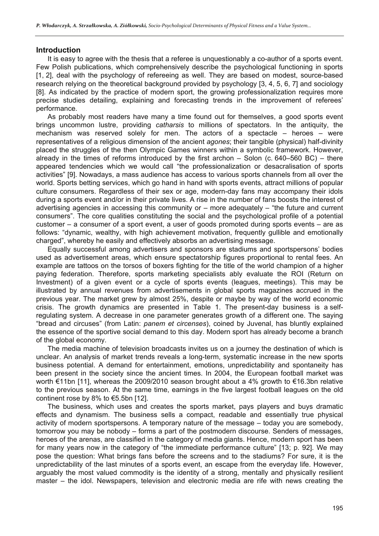#### **Introduction**

It is easy to agree with the thesis that a referee is unquestionably a co-author of a sports event. Few Polish publications, which comprehensively describe the psychological functioning in sports [1, 2], deal with the psychology of refereeing as well. They are based on modest, source-based research relying on the theoretical background provided by psychology [3, 4, 5, 6, 7] and sociology [8]. As indicated by the practice of modern sport, the growing professionalization requires more precise studies detailing, explaining and forecasting trends in the improvement of referees' performance.

As probably most readers have many a time found out for themselves, a good sports event brings uncommon lustre, providing *catharsis* to millions of spectators. In the antiquity, the mechanism was reserved solely for men. The actors of a spectacle – heroes – were representatives of a religious dimension of the ancient *agones*; their tangible (physical) half-divinity placed the struggles of the then Olympic Games winners within a symbolic framework. However, already in the times of reforms introduced by the first archon – Solon (c. 640–560 BC) – there appeared tendencies which we would call "the professionalization or desacralisation of sports activities" [9]. Nowadays, a mass audience has access to various sports channels from all over the world. Sports betting services, which go hand in hand with sports events, attract millions of popular culture consumers. Regardless of their sex or age, modern-day fans may accompany their idols during a sports event and/or in their private lives. A rise in the number of fans boosts the interest of advertising agencies in accessing this community or – more adequately – "the future and current consumers". The core qualities constituting the social and the psychological profile of a potential customer – a consumer of a sport event, a user of goods promoted during sports events – are as follows: "dynamic, wealthy, with high achievement motivation, frequently gullible and emotionally charged", whereby he easily and effectively absorbs an advertising message.

Equally successful among advertisers and sponsors are stadiums and sportspersons' bodies used as advertisement areas, which ensure spectatorship figures proportional to rental fees. An example are tattoos on the torsos of boxers fighting for the title of the world champion of a higher paying federation. Therefore, sports marketing specialists ably evaluate the ROI (Return on Investment) of a given event or a cycle of sports events (leagues, meetings). This may be illustrated by annual revenues from advertisements in global sports magazines accrued in the previous year. The market grew by almost 25%, despite or maybe by way of the world economic crisis. The growth dynamics are presented in Table 1. The present-day business is a selfregulating system. A decrease in one parameter generates growth of a different one. The saying "bread and circuses" (from Latin: *panem et circenses*), coined by Juvenal, has bluntly explained the essence of the sportive social demand to this day. Modern sport has already become a branch of the global economy.

The media machine of television broadcasts invites us on a journey the destination of which is unclear. An analysis of market trends reveals a long-term, systematic increase in the new sports business potential. A demand for entertainment, emotions, unpredictability and spontaneity has been present in the society since the ancient times. In 2004, the European football market was worth €11bn [11], whereas the 2009/2010 season brought about a 4% growth to €16.3bn relative to the previous season. At the same time, earnings in the five largest football leagues on the old continent rose by 8% to €5.5bn [12].

The business, which uses and creates the sports market, pays players and buys dramatic effects and dynamism. The business sells a compact, readable and essentially true physical activity of modern sportspersons. A temporary nature of the message – today you are somebody, tomorrow you may be nobody – forms a part of the postmodern discourse. Senders of messages, heroes of the arenas, are classified in the category of media giants. Hence, modern sport has been for many years now in the category of "the immediate performance culture" [13; p. 92]. We may pose the question: What brings fans before the screens and to the stadiums? For sure, it is the unpredictability of the last minutes of a sports event, an escape from the everyday life. However, arguably the most valued commodity is the identity of a strong, mentally and physically resilient master – the idol. Newspapers, television and electronic media are rife with news creating the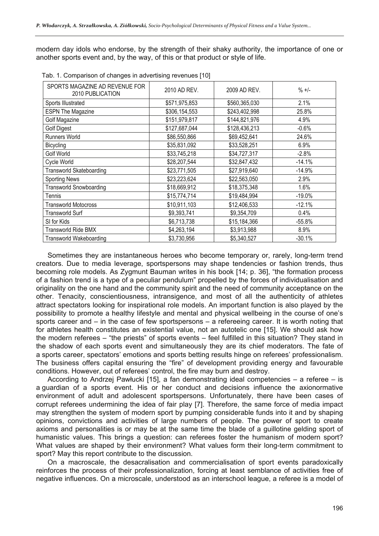modern day idols who endorse, by the strength of their shaky authority, the importance of one or another sports event and, by the way, of this or that product or style of life.

| SPORTS MAGAZINE AD REVENUE FOR<br>2010 PUBLICATION | 2010 AD REV.  | 2009 AD REV.  | $\% +/-$  |
|----------------------------------------------------|---------------|---------------|-----------|
| Sports Illustrated                                 | \$571,975,853 | \$560,365,030 | 2.1%      |
| <b>ESPN The Magazine</b>                           | \$306,154,553 | \$243,402,998 | 25.8%     |
| Golf Magazine                                      | \$151,979,817 | \$144,821,976 | 4.9%      |
| <b>Golf Digest</b>                                 | \$127,687,044 | \$128,436,213 | $-0.6%$   |
| <b>Runners World</b>                               | \$86,550,866  | \$69,452,641  | 24.6%     |
| Bicycling                                          | \$35,831,092  | \$33,528,251  | 6.9%      |
| Golf World                                         | \$33,745,218  | \$34,727,317  | $-2.8%$   |
| Cycle World                                        | \$28,207,544  | \$32,847,432  | $-14.1%$  |
| <b>Transworld Skateboarding</b>                    | \$23,771,505  | \$27,919,640  | $-14.9%$  |
| <b>Sporting News</b>                               | \$23,223,624  | \$22,563,050  | 2.9%      |
| <b>Transworld Snowboarding</b>                     | \$18,669,912  | \$18,375,348  | 1.6%      |
| Tennis                                             | \$15,774,714  | \$19,484,994  | $-19.0\%$ |
| <b>Transworld Motocross</b>                        | \$10,911,103  | \$12,406,533  | $-12.1%$  |
| Transworld Surf                                    | \$9,393,741   | \$9,354,709   | 0.4%      |
| SI for Kids                                        | \$6,713,738   | \$15,184,366  | $-55.8%$  |
| Transworld Ride BMX                                | \$4,263,194   | \$3,913,988   | 8.9%      |
| <b>Transworld Wakeboarding</b>                     | \$3,730,956   | \$5,340,527   | $-30.1%$  |

|  |  |  | Tab. 1. Comparison of changes in advertising revenues [10] |  |
|--|--|--|------------------------------------------------------------|--|
|  |  |  |                                                            |  |

Sometimes they are instantaneous heroes who become temporary or, rarely, long-term trend creators. Due to media leverage, sportspersons may shape tendencies or fashion trends, thus becoming role models. As Zygmunt Bauman writes in his book [14; p. 36], "the formation process of a fashion trend is a type of a peculiar pendulum" propelled by the forces of individualisation and originality on the one hand and the community spirit and the need of community acceptance on the other. Tenacity, conscientiousness, intransigence, and most of all the authenticity of athletes attract spectators looking for inspirational role models. An important function is also played by the possibility to promote a healthy lifestyle and mental and physical wellbeing in the course of one's sports career and – in the case of few sportspersons – a refereeing career. It is worth noting that for athletes health constitutes an existential value, not an autotelic one [15]. We should ask how the modern referees – "the priests" of sports events – feel fulfilled in this situation? They stand in the shadow of each sports event and simultaneously they are its chief moderators. The fate of a sports career, spectators' emotions and sports betting results hinge on referees' professionalism. The business offers capital ensuring the "fire" of development providing energy and favourable conditions. However, out of referees' control, the fire may burn and destroy.

According to Andrzej Pawłucki [15], a fan demonstrating ideal competencies – a referee – is a guardian of a sports event. His or her conduct and decisions influence the axionormative environment of adult and adolescent sportspersons. Unfortunately, there have been cases of corrupt referees undermining the idea of fair play [7]. Therefore, the same force of media impact may strengthen the system of modern sport by pumping considerable funds into it and by shaping opinions, convictions and activities of large numbers of people. The power of sport to create axioms and personalities is or may be at the same time the blade of a guillotine gelding sport of humanistic values. This brings a question: can referees foster the humanism of modern sport? What values are shaped by their environment? What values form their long-term commitment to sport? May this report contribute to the discussion.

On a macroscale, the desacralisation and commercialisation of sport events paradoxically reinforces the process of their professionalization, forcing at least semblance of activities free of negative influences. On a microscale, understood as an interschool league, a referee is a model of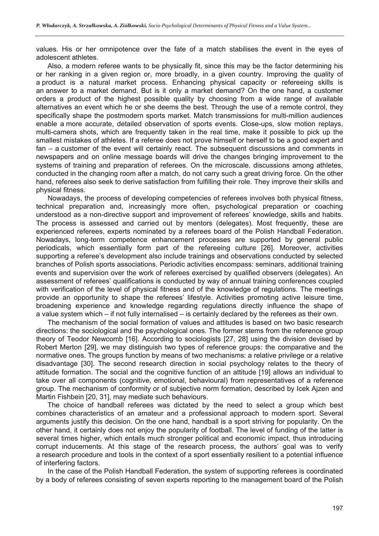values. His or her omnipotence over the fate of a match stabilises the event in the eyes of adolescent athletes.

Also, a modern referee wants to be physically fit, since this may be the factor determining his or her ranking in a given region or, more broadly, in a given country. Improving the quality of a product is a natural market process. Enhancing physical capacity or refereeing skills is an answer to a market demand. But is it only a market demand? On the one hand, a customer orders a product of the highest possible quality by choosing from a wide range of available alternatives an event which he or she deems the best. Through the use of a remote control, they specifically shape the postmodern sports market. Match transmissions for multi-million audiences enable a more accurate, detailed observation of sports events. Close-ups, slow motion replays, multi-camera shots, which are frequently taken in the real time, make it possible to pick up the smallest mistakes of athletes. If a referee does not prove himself or herself to be a good expert and fan – a customer of the event will certainly react. The subsequent discussions and comments in newspapers and on online message boards will drive the changes bringing improvement to the systems of training and preparation of referees. On the microscale, discussions among athletes, conducted in the changing room after a match, do not carry such a great driving force. On the other hand, referees also seek to derive satisfaction from fulfilling their role. They improve their skills and physical fitness.

Nowadays, the process of developing competencies of referees involves both physical fitness, technical preparation and, increasingly more often, psychological preparation or coaching understood as a non-directive support and improvement of referees' knowledge, skills and habits. The process is assessed and carried out by mentors (delegates). Most frequently, these are experienced referees, experts nominated by a referees board of the Polish Handball Federation. Nowadays, long-term competence enhancement processes are supported by general public periodicals, which essentially form part of the refereeing culture [26]. Moreover, activities supporting a referee's development also include trainings and observations conducted by selected branches of Polish sports associations. Periodic activities encompass: seminars, additional training events and supervision over the work of referees exercised by qualified observers (delegates). An assessment of referees' qualifications is conducted by way of annual training conferences coupled with verification of the level of physical fitness and of the knowledge of regulations. The meetings provide an opportunity to shape the referees' lifestyle. Activities promoting active leisure time, broadening experience and knowledge regarding regulations directly influence the shape of a value system which – if not fully internalised – is certainly declared by the referees as their own.

The mechanism of the social formation of values and attitudes is based on two basic research directions: the sociological and the psychological ones. The former stems from the reference group theory of Teodor Newcomb [16]. According to sociologists [27, 28] using the division devised by Robert Merton [29], we may distinguish two types of reference groups: the comparative and the normative ones. The groups function by means of two mechanisms: a relative privilege or a relative disadvantage [30]. The second research direction in social psychology relates to the theory of attitude formation. The social and the cognitive function of an attitude [19] allows an individual to take over all components (cognitive, emotional, behavioural) from representatives of a reference group. The mechanism of conformity or of subjective norm formation, described by Icek Ajzen and Martin Fishbein [20, 31], may mediate such behaviours.

The choice of handball referees was dictated by the need to select a group which best combines characteristics of an amateur and a professional approach to modern sport. Several arguments justify this decision. On the one hand, handball is a sport striving for popularity. On the other hand, it certainly does not enjoy the popularity of football. The level of funding of the latter is several times higher, which entails much stronger political and economic impact, thus introducing corrupt inducements. At this stage of the research process, the authors' goal was to verify a research procedure and tools in the context of a sport essentially resilient to a potential influence of interfering factors.

In the case of the Polish Handball Federation, the system of supporting referees is coordinated by a body of referees consisting of seven experts reporting to the management board of the Polish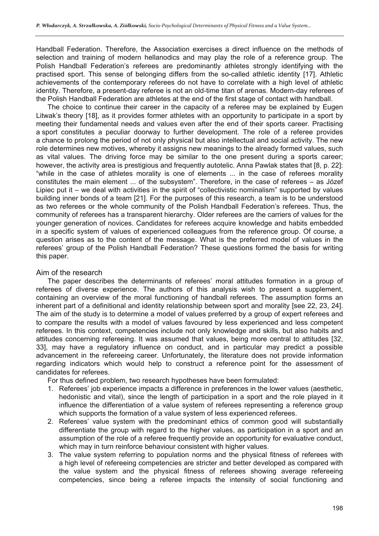Handball Federation. Therefore, the Association exercises a direct influence on the methods of selection and training of modern hellanodics and may play the role of a reference group. The Polish Handball Federation's referees are predominantly athletes strongly identifying with the practised sport. This sense of belonging differs from the so-called athletic identity [17]. Athletic achievements of the contemporary referees do not have to correlate with a high level of athletic identity. Therefore, a present-day referee is not an old-time titan of arenas. Modern-day referees of the Polish Handball Federation are athletes at the end of the first stage of contact with handball.

The choice to continue their career in the capacity of a referee may be explained by Eugen Litwak's theory [18], as it provides former athletes with an opportunity to participate in a sport by meeting their fundamental needs and values even after the end of their sports career. Practising a sport constitutes a peculiar doorway to further development. The role of a referee provides a chance to prolong the period of not only physical but also intellectual and social activity. The new role determines new motives, whereby it assigns new meanings to the already formed values, such as vital values. The driving force may be similar to the one present during a sports career; however, the activity area is prestigious and frequently autotelic. Anna Pawlak states that [8, p. 22]: "while in the case of athletes morality is one of elements ... in the case of referees morality constitutes the main element ... of the subsystem". Therefore, in the case of referees – as Józef Lipiec put it – we deal with activities in the spirit of "collectivistic nominalism" supported by values building inner bonds of a team [21]. For the purposes of this research, a team is to be understood as two referees or the whole community of the Polish Handball Federation's referees. Thus, the community of referees has a transparent hierarchy. Older referees are the carriers of values for the younger generation of novices. Candidates for referees acquire knowledge and habits embedded in a specific system of values of experienced colleagues from the reference group. Of course, a question arises as to the content of the message. What is the preferred model of values in the referees' group of the Polish Handball Federation? These questions formed the basis for writing this paper.

### Aim of the research

The paper describes the determinants of referees' moral attitudes formation in a group of referees of diverse experience. The authors of this analysis wish to present a supplement, containing an overview of the moral functioning of handball referees. The assumption forms an inherent part of a definitional and identity relationship between sport and morality [see 22, 23, 24]. The aim of the study is to determine a model of values preferred by a group of expert referees and to compare the results with a model of values favoured by less experienced and less competent referees. In this context, competencies include not only knowledge and skills, but also habits and attitudes concerning refereeing. It was assumed that values, being more central to attitudes [32, 33], may have a regulatory influence on conduct, and in particular may predict a possible advancement in the refereeing career. Unfortunately, the literature does not provide information regarding indicators which would help to construct a reference point for the assessment of candidates for referees.

For thus defined problem, two research hypotheses have been formulated:

- 1. Referees' job experience impacts a difference in preferences in the lower values (aesthetic, hedonistic and vital), since the length of participation in a sport and the role played in it influence the differentiation of a value system of referees representing a reference group which supports the formation of a value system of less experienced referees.
- 2. Referees' value system with the predominant ethics of common good will substantially differentiate the group with regard to the higher values, as participation in a sport and an assumption of the role of a referee frequently provide an opportunity for evaluative conduct, which may in turn reinforce behaviour consistent with higher values.
- 3. The value system referring to population norms and the physical fitness of referees with a high level of refereeing competencies are stricter and better developed as compared with the value system and the physical fitness of referees showing average refereeing competencies, since being a referee impacts the intensity of social functioning and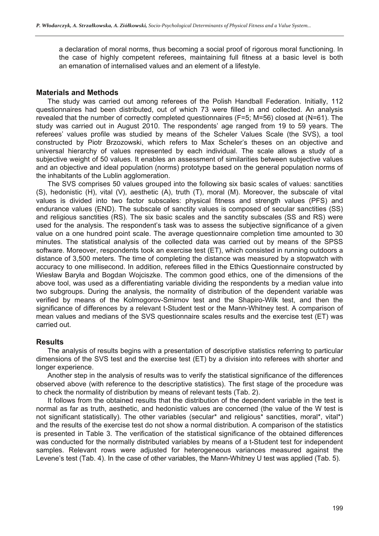a declaration of moral norms, thus becoming a social proof of rigorous moral functioning. In the case of highly competent referees, maintaining full fitness at a basic level is both an emanation of internalised values and an element of a lifestyle.

#### **Materials and Methods**

The study was carried out among referees of the Polish Handball Federation. Initially, 112 questionnaires had been distributed, out of which 73 were filled in and collected. An analysis revealed that the number of correctly completed questionnaires (F=5; M=56) closed at (N=61). The study was carried out in August 2010. The respondents' age ranged from 19 to 59 years. The referees' values profile was studied by means of the Scheler Values Scale (the SVS), a tool constructed by Piotr Brzozowski, which refers to Max Scheler's theses on an objective and universal hierarchy of values represented by each individual. The scale allows a study of a subjective weight of 50 values. It enables an assessment of similarities between subjective values and an objective and ideal population (norms) prototype based on the general population norms of the inhabitants of the Lublin agglomeration.

The SVS comprises 50 values grouped into the following six basic scales of values: sanctities (S), hedonistic (H), vital (V), aesthetic (A), truth (T), moral (M). Moreover, the subscale of vital values is divided into two factor subscales: physical fitness and strength values (PFS) and endurance values (END). The subscale of sanctity values is composed of secular sanctities (SS) and religious sanctities (RS). The six basic scales and the sanctity subscales (SS and RS) were used for the analysis. The respondent's task was to assess the subjective significance of a given value on a one hundred point scale. The average questionnaire completion time amounted to 30 minutes. The statistical analysis of the collected data was carried out by means of the SPSS software. Moreover, respondents took an exercise test (ET), which consisted in running outdoors a distance of 3,500 meters. The time of completing the distance was measured by a stopwatch with accuracy to one millisecond. In addition, referees filled in the Ethics Questionnaire constructed by Wiesław Baryła and Bogdan Wojciszke. The common good ethics, one of the dimensions of the above tool, was used as a differentiating variable dividing the respondents by a median value into two subgroups. During the analysis, the normality of distribution of the dependent variable was verified by means of the Kolmogorov-Smirnov test and the Shapiro-Wilk test, and then the significance of differences by a relevant t-Student test or the Mann-Whitney test. A comparison of mean values and medians of the SVS questionnaire scales results and the exercise test (ET) was carried out.

### **Results**

The analysis of results begins with a presentation of descriptive statistics referring to particular dimensions of the SVS test and the exercise test (ET) by a division into referees with shorter and longer experience.

Another step in the analysis of results was to verify the statistical significance of the differences observed above (with reference to the descriptive statistics). The first stage of the procedure was to check the normality of distribution by means of relevant tests (Tab. 2).

It follows from the obtained results that the distribution of the dependent variable in the test is normal as far as truth, aesthetic, and hedonistic values are concerned (the value of the W test is not significant statistically). The other variables (secular<sup>\*</sup> and religious<sup>\*</sup> sanctities, moral<sup>\*</sup>, vital<sup>\*</sup>) and the results of the exercise test do not show a normal distribution. A comparison of the statistics is presented in Table 3. The verification of the statistical significance of the obtained differences was conducted for the normally distributed variables by means of a t-Student test for independent samples. Relevant rows were adjusted for heterogeneous variances measured against the Levene's test (Tab. 4). In the case of other variables, the Mann-Whitney U test was applied (Tab. 5).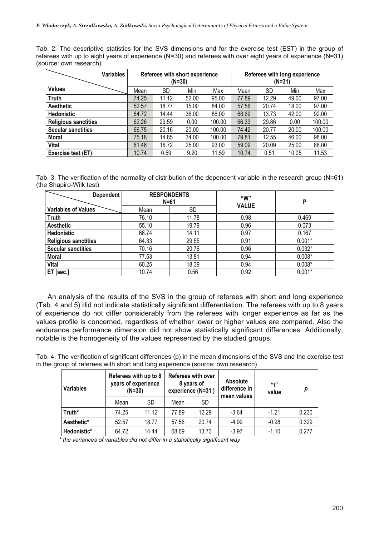Tab. 2. The descriptive statistics for the SVS dimensions and for the exercise test (EST) in the group of referees with up to eight years of experience (N=30) and referees with over eight years of experience (N=31) (source: own research)

| <b>Variables</b>            |       |       | Referees with short experience<br>$(N=30)$ |        | Referees with long experience<br>$(N=31)$ |       |       |        |
|-----------------------------|-------|-------|--------------------------------------------|--------|-------------------------------------------|-------|-------|--------|
| <b>Values</b>               | Mean  | SD    | Min                                        | Max    | Mean                                      | SD    | Min   | Max    |
| <b>Truth</b>                | 74.25 | 11.12 | 52.00                                      | 95.00  | 77.89                                     | 12.29 | 49.00 | 97.00  |
| <b>Aesthetic</b>            | 52.57 | 18.77 | 15.00                                      | 84.00  | 57.56                                     | 20.74 | 18.00 | 97.00  |
| <b>Hedonistic</b>           | 64.72 | 14.44 | 36.00                                      | 86.00  | 68.69                                     | 13.73 | 42.00 | 92.00  |
| <b>Religious sanctities</b> | 62.26 | 29.59 | 0.00                                       | 100.00 | 66.33                                     | 29.86 | 0.00  | 100.00 |
| <b>Secular sanctities</b>   | 66.75 | 20.16 | 20.00                                      | 100.00 | 74.42                                     | 20.77 | 20.00 | 100.00 |
| Moral                       | 75.18 | 14.85 | 34.00                                      | 100.00 | 79.81                                     | 12.55 | 46.00 | 98.00  |
| <b>Vital</b>                | 61.46 | 16.72 | 25.00                                      | 93.00  | 59.09                                     | 20.09 | 25.00 | 88.00  |
| Exercise test (ET)          | 10.74 | 0.59  | 9.20                                       | 11.59  | 10.74                                     | 0.51  | 10.05 | 11.53  |

Tab. 3. The verification of the normality of distribution of the dependent variable in the research group (N=61) (the Shapiro-Wilk test)

| <b>Dependent</b>            | <b>RESPONDENTS</b> |           | "W"          |          |  |
|-----------------------------|--------------------|-----------|--------------|----------|--|
|                             | $N=61$             |           | <b>VALUE</b> | P        |  |
| <b>Variables of Values</b>  | Mean               | <b>SD</b> |              |          |  |
| <b>Truth</b>                | 76.10              | 11.78     | 0.98         | 0.469    |  |
| <b>Aesthetic</b>            | 55.10              | 19.79     | 0.96         | 0.073    |  |
| Hedonistic                  | 66.74              | 14.11     | 0.97         | 0.167    |  |
| <b>Religious sanctities</b> | 64.33              | 29.55     | 0.91         | $0.001*$ |  |
| <b>Secular sanctities</b>   | 70.16              | 20.76     | 0.96         | $0.032*$ |  |
| <b>Moral</b>                | 77.53              | 13.81     | 0.94         | $0.008*$ |  |
| Vital                       | 60.25              | 18.39     | 0.94         | $0.008*$ |  |
| ET [sec.]                   | 10.74              | 0.56      | 0.92         | $0.001*$ |  |

An analysis of the results of the SVS in the group of referees with short and long experience (Tab. 4 and 5) did not indicate statistically significant differentiation. The referees with up to 8 years of experience do not differ considerably from the referees with longer experience as far as the values profile is concerned, regardless of whether lower or higher values are compared. Also the endurance performance dimension did not show statistically significant differences. Additionally, notable is the homogeneity of the values represented by the studied groups.

Tab. 4. The verification of significant differences (p) in the mean dimensions of the SVS and the exercise test in the group of referees with short and long experience (source: own research)

| <b>Variables</b> | Referees with up to 8<br>years of experience<br>$(N=30)$ |       | experience (N=31) | <b>Referees with over</b><br>8 years of | <b>Absolute</b><br>difference in<br>mean values | (4)<br>value | p     |
|------------------|----------------------------------------------------------|-------|-------------------|-----------------------------------------|-------------------------------------------------|--------------|-------|
|                  | Mean                                                     | SD    | Mean              | SD.                                     |                                                 |              |       |
| Truth*           | 74.25                                                    | 11.12 | 77.89             | 12.29                                   | $-3.64$                                         | $-1.21$      | 0.230 |
| Aesthetic*       | 52.57                                                    | 18.77 | 57.56             | 20.74                                   | $-4.99$                                         | $-0.98$      | 0.329 |
| Hedonistic*      | 64.72                                                    | 14.44 | 68.69             | 13.73                                   | $-3.97$                                         | $-1.10$      | 0.277 |

*\* the variances of variables did not differ in a statistically significant way*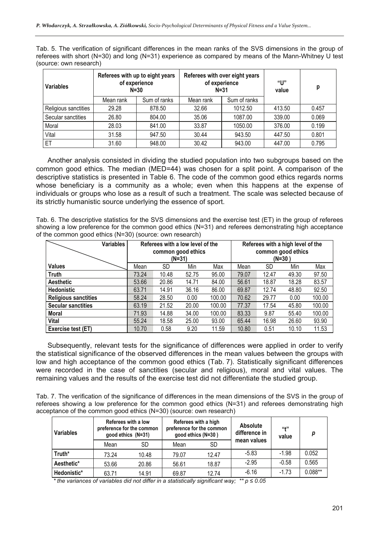Tab. 5. The verification of significant differences in the mean ranks of the SVS dimensions in the group of referees with short (N=30) and long (N=31) experience as compared by means of the Mann-Whitney U test (source: own research)

| <b>Variables</b>     |                 | Referees with up to eight years<br>of experience<br>$N = 30$ |                  | Referees with over eight years<br>of experience<br>$N = 31$ | "Ս"<br>value | р     |  |
|----------------------|-----------------|--------------------------------------------------------------|------------------|-------------------------------------------------------------|--------------|-------|--|
|                      | Mean rank       | Sum of ranks                                                 | Mean rank        | Sum of ranks                                                |              |       |  |
| Religious sanctities | 29.28<br>878.50 |                                                              | 32.66<br>1012.50 |                                                             | 413.50       | 0.457 |  |
| Secular sanctities   | 26.80           | 804.00                                                       | 35.06            | 1087.00                                                     | 339.00       | 0.069 |  |
| Moral                | 28.03           | 841.00                                                       | 33.87            | 1050.00                                                     | 376.00       | 0.199 |  |
| Vital                | 31.58           | 947.50                                                       | 30.44            | 943.50                                                      | 447.50       | 0.801 |  |
| ET                   | 31.60           | 948.00                                                       | 30.42            | 943.00                                                      | 447.00       | 0.795 |  |

Another analysis consisted in dividing the studied population into two subgroups based on the common good ethics. The median (MED=44) was chosen for a split point. A comparison of the descriptive statistics is presented in Table 6. The code of the common good ethics regards norms whose beneficiary is a community as a whole; even when this happens at the expense of individuals or groups who lose as a result of such a treatment. The scale was selected because of its strictly humanistic source underlying the essence of sport.

Tab. 6. The descriptive statistics for the SVS dimensions and the exercise test (ET) in the group of referees showing a low preference for the common good ethics (N=31) and referees demonstrating high acceptance of the common good ethics (N=30) (source: own research)

| Variables                   |       | Referees with a low level of the<br>common good ethics<br>$(N=31)$ |       | Referees with a high level of the<br>common good ethics<br>$(N=30)$ |       |       |       |        |
|-----------------------------|-------|--------------------------------------------------------------------|-------|---------------------------------------------------------------------|-------|-------|-------|--------|
| <b>Values</b>               | Mean  | <b>SD</b>                                                          | Min   | Max                                                                 | Mean  | SD    | Min   | Max    |
| <b>Truth</b>                | 73.24 | 10.48                                                              | 52.75 | 95.00                                                               | 79.07 | 12.47 | 49.30 | 97.50  |
| <b>Aesthetic</b>            | 53.66 | 20.86                                                              | 14.71 | 84.00                                                               | 56.61 | 18.87 | 18.28 | 83.57  |
| <b>Hedonistic</b>           | 63.71 | 14.91                                                              | 36.16 | 86.00                                                               | 69.87 | 12.74 | 48.80 | 92.50  |
| <b>Religious sanctities</b> | 58.24 | 28.50                                                              | 0.00  | 100.00                                                              | 70.62 | 29.77 | 0.00  | 100.00 |
| <b>Secular sanctities</b>   | 63.19 | 21.52                                                              | 20.00 | 100.00                                                              | 77.37 | 17.54 | 45.80 | 100.00 |
| Moral                       | 71.93 | 14.88                                                              | 34.00 | 100.00                                                              | 83.33 | 9.87  | 55.40 | 100.00 |
| <b>Vital</b>                | 55.24 | 18.58                                                              | 25.00 | 93.00                                                               | 65.44 | 16.98 | 26.60 | 93.90  |
| Exercise test (ET)          | 10.70 | 0.58                                                               | 9.20  | 11.59                                                               | 10.80 | 0.51  | 10.10 | 11.53  |

Subsequently, relevant tests for the significance of differences were applied in order to verify the statistical significance of the observed differences in the mean values between the groups with low and high acceptance of the common good ethics (Tab. 7). Statistically significant differences were recorded in the case of sanctities (secular and religious), moral and vital values. The remaining values and the results of the exercise test did not differentiate the studied group.

Tab. 7. The verification of the significance of differences in the mean dimensions of the SVS in the group of referees showing a low preference for the common good ethics (N=31) and referees demonstrating high acceptance of the common good ethics (N=30) (source: own research)

| <b>Variables</b> |       | Referees with a low<br>preference for the common<br>good ethics (N=31) | good ethics (N=30) | Referees with a high<br>preference for the common | <b>Absolute</b><br>difference in | (11)<br>value |           |
|------------------|-------|------------------------------------------------------------------------|--------------------|---------------------------------------------------|----------------------------------|---------------|-----------|
|                  | Mean  | <b>SD</b>                                                              | Mean               | SD                                                | mean values                      |               |           |
| Truth*           | 73.24 | 10.48                                                                  | 79.07              | 12.47                                             | $-5.83$                          | $-1.98$       | 0.052     |
| Aesthetic*       | 53.66 | 20.86                                                                  | 56.61              | 18.87                                             | $-2.95$                          | $-0.58$       | 0.565     |
| Hedonistic*      | 63.71 | 14.91                                                                  | 69.87              | 12.74                                             | $-6.16$                          | $-1.73$       | $0.088**$ |

*\* the variances of variables did not differ in a statistically significant way; \*\* p ≤ 0.05*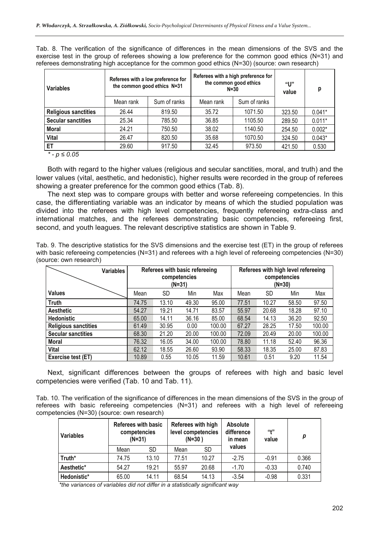| <b>Variables</b>            |           | Referees with a low preference for<br>the common good ethics N=31 |           | Referees with a high preference for<br>the common good ethics<br>$N=30$ | "ሀ"<br>value | р        |
|-----------------------------|-----------|-------------------------------------------------------------------|-----------|-------------------------------------------------------------------------|--------------|----------|
|                             | Mean rank | Sum of ranks                                                      | Mean rank | Sum of ranks                                                            |              |          |
| <b>Religious sanctities</b> | 26.44     | 819.50                                                            | 35.72     | 1071.50                                                                 | 323.50       | $0.041*$ |
| <b>Secular sanctities</b>   | 25.34     | 785.50                                                            | 36.85     | 1105.50                                                                 | 289.50       | $0.011*$ |
| <b>Moral</b>                | 24.21     | 750.50                                                            | 38.02     | 1140.50                                                                 | 254.50       | $0.002*$ |
| <b>Vital</b>                | 26.47     | 820.50                                                            | 35.68     | 1070.50                                                                 | 324.50       | $0.043*$ |
| ET                          | 29.60     | 917.50                                                            | 32.45     | 973.50                                                                  | 421.50       | 0.530    |

Tab. 8. The verification of the significance of differences in the mean dimensions of the SVS and the exercise test in the group of referees showing a low preference for the common good ethics (N=31) and referees demonstrating high acceptance for the common good ethics (N=30) (source: own research)

*\* - p ≤ 0.05* 

Both with regard to the higher values (religious and secular sanctities, moral, and truth) and the lower values (vital, aesthetic, and hedonistic), higher results were recorded in the group of referees showing a greater preference for the common good ethics (Tab. 8).

The next step was to compare groups with better and worse refereeing competencies. In this case, the differentiating variable was an indicator by means of which the studied population was divided into the referees with high level competencies, frequently refereeing extra-class and international matches, and the referees demonstrating basic competencies, refereeing first, second, and youth leagues. The relevant descriptive statistics are shown in Table 9.

Tab. 9. The descriptive statistics for the SVS dimensions and the exercise test (ET) in the group of referees with basic refereeing competencies (N=31) and referees with a high level of refereeing competencies (N=30) (source: own research)

| <b>Variables</b>            | Referees with basic refereeing<br>competencies<br>(N=31) |       |       |        |       | Referees with high level refereeing<br>competencies<br>$(N=30)$ |       |        |
|-----------------------------|----------------------------------------------------------|-------|-------|--------|-------|-----------------------------------------------------------------|-------|--------|
| <b>Values</b>               | Mean                                                     | SD    | Min   | Max    | Mean  | SD                                                              | Min   | Max    |
| <b>Truth</b>                | 74.75                                                    | 13.10 | 49.30 | 95.00  | 77.51 | 10.27                                                           | 58.50 | 97.50  |
| <b>Aesthetic</b>            | 54.27                                                    | 19.21 | 14.71 | 83.57  | 55.97 | 20.68                                                           | 18.28 | 97.10  |
| <b>Hedonistic</b>           | 65.00                                                    | 14.11 | 36.16 | 85.00  | 68.54 | 14.13                                                           | 36.20 | 92.50  |
| <b>Religious sanctities</b> | 61.49                                                    | 30.95 | 0.00  | 100.00 | 67.27 | 28.25                                                           | 17.50 | 100.00 |
| <b>Secular sanctities</b>   | 68.30                                                    | 21.20 | 20.00 | 100.00 | 72.09 | 20.49                                                           | 20.00 | 100.00 |
| Moral                       | 76.32                                                    | 16.05 | 34.00 | 100.00 | 78.80 | 11.18                                                           | 52.40 | 96.36  |
| <b>Vital</b>                | 62.12                                                    | 18.55 | 26.60 | 93.90  | 58.33 | 18.35                                                           | 25.00 | 87.83  |
| Exercise test (ET)          | 10.89                                                    | 0.55  | 10.05 | 11.59  | 10.61 | 0.51                                                            | 9.20  | 11.54  |

Next, significant differences between the groups of referees with high and basic level competencies were verified (Tab. 10 and Tab. 11).

Tab. 10. The verification of the significance of differences in the mean dimensions of the SVS in the group of referees with basic refereeing competencies (N=31) and referees with a high level of refereeing competencies (N=30) (source: own research)

| <b>Variables</b> | <b>Referees with basic</b><br>competencies<br>$(N=31)$ |       | Referees with high<br>level competencies<br>$(N=30)$ |           | <b>Absolute</b><br>difference<br>in mean | "+"<br>value | р     |
|------------------|--------------------------------------------------------|-------|------------------------------------------------------|-----------|------------------------------------------|--------------|-------|
|                  | Mean                                                   | SD    | Mean                                                 | <b>SD</b> | values                                   |              |       |
| Truth*           | 74.75                                                  | 13.10 | 77.51                                                | 10.27     | $-2.75$                                  | $-0.91$      | 0.366 |
| Aesthetic*       | 54.27                                                  | 19.21 | 55.97                                                | 20.68     | $-1.70$                                  | $-0.33$      | 0.740 |
| Hedonistic*      | 65.00                                                  | 14.11 | 68.54                                                | 14.13     | $-3.54$                                  | $-0.98$      | 0.331 |

*\*the variances of variables did not differ in a statistically significant way*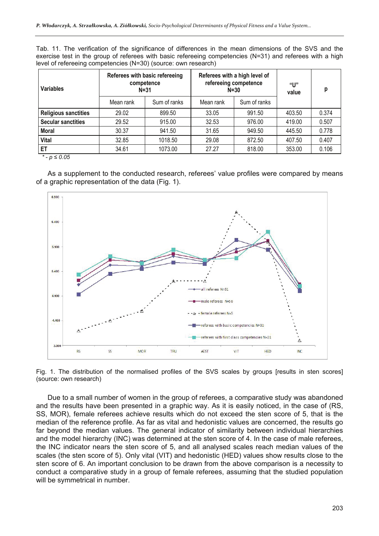Tab. 11. The verification of the significance of differences in the mean dimensions of the SVS and the exercise test in the group of referees with basic refereeing competencies (N=31) and referees with a high level of refereeing competencies (N=30) (source: own research)

| <b>Variables</b>            |           | Referees with basic refereeing<br>competence<br>$N = 31$ |           | Referees with a high level of<br>refereeing competence<br>$N = 30$ | "U"<br>value | p     |
|-----------------------------|-----------|----------------------------------------------------------|-----------|--------------------------------------------------------------------|--------------|-------|
|                             | Mean rank | Sum of ranks                                             | Mean rank | Sum of ranks                                                       |              |       |
| <b>Religious sanctities</b> | 29.02     | 899.50                                                   | 33.05     | 991.50                                                             | 403.50       | 0.374 |
| <b>Secular sanctities</b>   | 29.52     | 915.00                                                   | 32.53     | 976.00                                                             | 419.00       | 0.507 |
| <b>Moral</b>                | 30.37     | 941.50                                                   | 31.65     | 949.50                                                             | 445.50       | 0.778 |
| <b>Vital</b>                | 32.85     | 1018.50                                                  | 29.08     | 872.50                                                             | 407.50       | 0.407 |
| <b>ET</b>                   | 34.61     | 1073.00                                                  | 27.27     | 818.00                                                             | 353.00       | 0.106 |

*\* - p ≤ 0.05* 

As a supplement to the conducted research, referees' value profiles were compared by means of a graphic representation of the data (Fig. 1).



Fig. 1. The distribution of the normalised profiles of the SVS scales by groups [results in sten scores] (source: own research)

Due to a small number of women in the group of referees, a comparative study was abandoned and the results have been presented in a graphic way. As it is easily noticed, in the case of (RS, SS, MOR), female referees achieve results which do not exceed the sten score of 5, that is the median of the reference profile. As far as vital and hedonistic values are concerned, the results go far beyond the median values. The general indicator of similarity between individual hierarchies and the model hierarchy (INC) was determined at the sten score of 4. In the case of male referees, the INC indicator nears the sten score of 5, and all analysed scales reach median values of the scales (the sten score of 5). Only vital (VIT) and hedonistic (HED) values show results close to the sten score of 6. An important conclusion to be drawn from the above comparison is a necessity to conduct a comparative study in a group of female referees, assuming that the studied population will be symmetrical in number.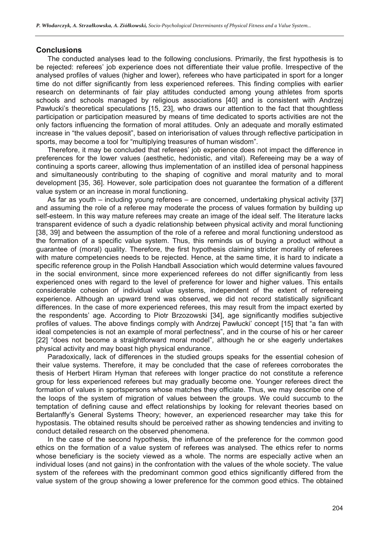#### **Conclusions**

The conducted analyses lead to the following conclusions. Primarily, the first hypothesis is to be rejected: referees' job experience does not differentiate their value profile. Irrespective of the analysed profiles of values (higher and lower), referees who have participated in sport for a longer time do not differ significantly from less experienced referees. This finding complies with earlier research on determinants of fair play attitudes conducted among young athletes from sports schools and schools managed by religious associations [40] and is consistent with Andrzej Pawłucki's theoretical speculations [15, 23], who draws our attention to the fact that thoughtless participation or participation measured by means of time dedicated to sports activities are not the only factors influencing the formation of moral attitudes. Only an adequate and morally estimated increase in "the values deposit", based on interiorisation of values through reflective participation in sports, may become a tool for "multiplying treasures of human wisdom".

Therefore, it may be concluded that referees' job experience does not impact the difference in preferences for the lower values (aesthetic, hedonistic, and vital). Refereeing may be a way of continuing a sports career, allowing thus implementation of an instilled idea of personal happiness and simultaneously contributing to the shaping of cognitive and moral maturity and to moral development [35, 36]. However, sole participation does not guarantee the formation of a different value system or an increase in moral functioning.

As far as youth – including young referees – are concerned, undertaking physical activity [37] and assuming the role of a referee may moderate the process of values formation by building up self-esteem. In this way mature referees may create an image of the ideal self. The literature lacks transparent evidence of such a dyadic relationship between physical activity and moral functioning [38, 39] and between the assumption of the role of a referee and moral functioning understood as the formation of a specific value system. Thus, this reminds us of buying a product without a guarantee of (moral) quality. Therefore, the first hypothesis claiming stricter morality of referees with mature competencies needs to be rejected. Hence, at the same time, it is hard to indicate a specific reference group in the Polish Handball Association which would determine values favoured in the social environment, since more experienced referees do not differ significantly from less experienced ones with regard to the level of preference for lower and higher values. This entails considerable cohesion of individual value systems, independent of the extent of refereeing experience. Although an upward trend was observed, we did not record statistically significant differences. In the case of more experienced referees, this may result from the impact exerted by the respondents' age. According to Piotr Brzozowski [34], age significantly modifies subjective profiles of values. The above findings comply with Andrzej Pawłucki' concept [15] that "a fan with ideal competencies is not an example of moral perfectness", and in the course of his or her career [22] "does not become a straightforward moral model", although he or she eagerly undertakes physical activity and may boast high physical endurance.

Paradoxically, lack of differences in the studied groups speaks for the essential cohesion of their value systems. Therefore, it may be concluded that the case of referees corroborates the thesis of Herbert Hiram Hyman that referees with longer practice do not constitute a reference group for less experienced referees but may gradually become one. Younger referees direct the formation of values in sportspersons whose matches they officiate. Thus, we may describe one of the loops of the system of migration of values between the groups. We could succumb to the temptation of defining cause and effect relationships by looking for relevant theories based on Bertalanffy's General Systems Theory; however, an experienced researcher may take this for hypostasis. The obtained results should be perceived rather as showing tendencies and inviting to conduct detailed research on the observed phenomena.

In the case of the second hypothesis, the influence of the preference for the common good ethics on the formation of a value system of referees was analysed. The ethics refer to norms whose beneficiary is the society viewed as a whole. The norms are especially active when an individual loses (and not gains) in the confrontation with the values of the whole society. The value system of the referees with the predominant common good ethics significantly differed from the value system of the group showing a lower preference for the common good ethics. The obtained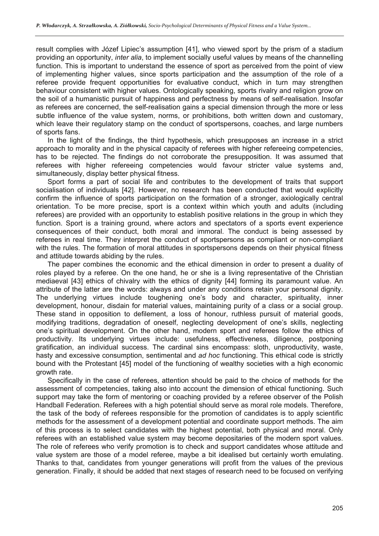result complies with Józef Lipiec's assumption [41], who viewed sport by the prism of a stadium providing an opportunity, *inter alia*, to implement socially useful values by means of the channelling function. This is important to understand the essence of sport as perceived from the point of view of implementing higher values, since sports participation and the assumption of the role of a referee provide frequent opportunities for evaluative conduct, which in turn may strengthen behaviour consistent with higher values. Ontologically speaking, sports rivalry and religion grow on the soil of a humanistic pursuit of happiness and perfectness by means of self-realisation. Insofar as referees are concerned, the self-realisation gains a special dimension through the more or less subtle influence of the value system, norms, or prohibitions, both written down and customary, which leave their regulatory stamp on the conduct of sportspersons, coaches, and large numbers of sports fans.

In the light of the findings, the third hypothesis, which presupposes an increase in a strict approach to morality and in the physical capacity of referees with higher refereeing competencies, has to be rejected. The findings do not corroborate the presupposition. It was assumed that referees with higher refereeing competencies would favour stricter value systems and, simultaneously, display better physical fitness.

Sport forms a part of social life and contributes to the development of traits that support socialisation of individuals [42]. However, no research has been conducted that would explicitly confirm the influence of sports participation on the formation of a stronger, axiologically central orientation. To be more precise, sport is a context within which youth and adults (including referees) are provided with an opportunity to establish positive relations in the group in which they function. Sport is a training ground, where actors and spectators of a sports event experience consequences of their conduct, both moral and immoral. The conduct is being assessed by referees in real time. They interpret the conduct of sportspersons as compliant or non-compliant with the rules. The formation of moral attitudes in sportspersons depends on their physical fitness and attitude towards abiding by the rules.

The paper combines the economic and the ethical dimension in order to present a duality of roles played by a referee. On the one hand, he or she is a living representative of the Christian mediaeval [43] ethics of chivalry with the ethics of dignity [44] forming its paramount value. An attribute of the latter are the words: always and under any conditions retain your personal dignity. The underlying virtues include toughening one's body and character, spirituality, inner development, honour, disdain for material values, maintaining purity of a class or a social group. These stand in opposition to defilement, a loss of honour, ruthless pursuit of material goods, modifying traditions, degradation of oneself, neglecting development of one's skills, neglecting one's spiritual development. On the other hand, modern sport and referees follow the ethics of productivity. Its underlying virtues include: usefulness, effectiveness, diligence, postponing gratification, an individual success. The cardinal sins encompass: sloth, unproductivity, waste, hasty and excessive consumption, sentimental and *ad hoc* functioning. This ethical code is strictly bound with the Protestant [45] model of the functioning of wealthy societies with a high economic growth rate.

Specifically in the case of referees, attention should be paid to the choice of methods for the assessment of competencies, taking also into account the dimension of ethical functioning. Such support may take the form of mentoring or coaching provided by a referee observer of the Polish Handball Federation. Referees with a high potential should serve as moral role models. Therefore, the task of the body of referees responsible for the promotion of candidates is to apply scientific methods for the assessment of a development potential and coordinate support methods. The aim of this process is to select candidates with the highest potential, both physical and moral. Only referees with an established value system may become depositaries of the modern sport values. The role of referees who verify promotion is to check and support candidates whose attitude and value system are those of a model referee, maybe a bit idealised but certainly worth emulating. Thanks to that, candidates from younger generations will profit from the values of the previous generation. Finally, it should be added that next stages of research need to be focused on verifying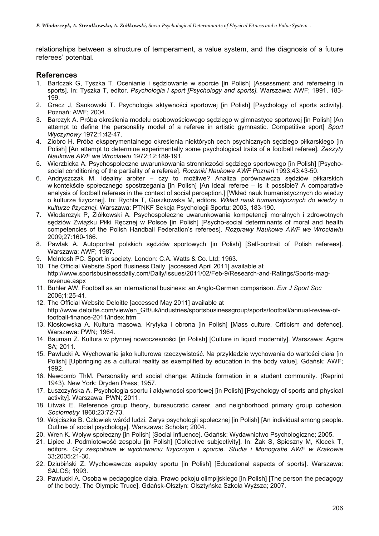relationships between a structure of temperament, a value system, and the diagnosis of a future referees' potential.

## **References**

- 1. Bartczak G, Tyszka T. Ocenianie i sędziowanie w sporcie [in Polish] [Assessment and refereeing in sports]. In: Tyszka T, editor. *Psychologia i sport [Psychology and sports]*. Warszawa: AWF; 1991, 183- 199.
- 2. Gracz J, Sankowski T. Psychologia aktywności sportowej [in Polish] [Psychology of sports activity]. Poznań: AWF; 2004.
- 3. Barczyk A. Próba określenia modelu osobowościowego sędziego w gimnastyce sportowej [in Polish] [An attempt to define the personality model of a referee in artistic gymnastic. Competitive sport] *Sport Wyczynowy* 1972;1:42-47.
- 4. Ziobro H. Próba eksperymentalnego określenia niektórych cech psychicznych sędziego piłkarskiego [in Polish] [An attempt to determine experimentally some psychological traits of a football referee]. *Zeszyty Naukowe AWF we Wrocławiu* 1972;12:189-191.
- 5. Wierzbicka A. Psychospołeczne uwarunkowania stronniczości sędziego sportowego [in Polish] [Psychosocial conditioning of the partiality of a referee]. *Roczniki Naukowe AWF Poznań* 1993;43:43-50.
- 6. Andryszczak M. Idealny arbiter czy to możliwe? Analiza porównawcza sędziów piłkarskich w kontekście społecznego spostrzegania [in Polish] [An ideal referee – is it possible? A comparative analysis of football referees in the context of social perception.] [Wkład nauk humanistycznych do wiedzy o kulturze fizycznej]. In: Rychta T, Guszkowska M, editors. *Wkład nauk humanistycznych do wiedzy o kulturze fizycznej*. Warszawa: PTNKF Sekcja Psychologii Sportu; 2003, 183-190.
- 7. Włodarczyk P, Ziółkowski A. Psychospołeczne uwarunkowania kompetencji moralnych i zdrowotnych sędziów Związku Piłki Ręcznej w Polsce [in Polish] [Psycho-social determinants of moral and health competencies of the Polish Handball Federation's referees]. *Rozprawy Naukowe AWF we Wrocławiu* 2009;27:160-166.
- 8. Pawlak A. Autoportret polskich sędziów sportowych [in Polish] [Self-portrait of Polish referees]. Warszawa: AWF; 1987.
- 9. McIntosh PC. Sport in society. London: C.A. Watts & Co. Ltd; 1963.
- 10. The Official Website Sport Business Daily [accessed April 2011] available at http://www.sportsbusinessdaily.com/Daily/Issues/2011/02/Feb-9/Research-and-Ratings/Sports-magrevenue.aspx
- 11. Buhler AW. Football as an international business: an Anglo-German comparison. *Eur J Sport Soc*  2006;1:25-41.
- 12. The Official Website Deloitte [accessed May 2011] available at http://www.deloitte.com/view/en\_GB/uk/industries/sportsbusinessgroup/sports/football/annual-review-offootball-finance-2011/index.htm
- 13. Kłoskowska A. Kultura masowa. Krytyka i obrona [in Polish] [Mass culture. Criticism and defence]. Warszawa: PWN; 1964.
- 14. Bauman Z. Kultura w płynnej nowoczesności [in Polish] [Culture in liquid modernity]. Warszawa: Agora SA; 2011.
- 15. Pawłucki A. Wychowanie jako kulturowa rzeczywistość. Na przykładzie wychowania do wartości ciała [in Polish] [Upbringing as a cultural reality as exemplified by education in the body value]. Gdańsk: AWF; 1992.
- 16. Newcomb ThM. Personality and social change: Attitude formation in a student community. (Reprint 1943). New York: Dryden Press; 1957.
- 17. Łuszczyńska A. Psychologia sportu i aktywności sportowej [in Polish] [Psychology of sports and physical activity]. Warszawa: PWN; 2011.
- 18. Litwak E. Reference group theory, bureaucratic career, and neighborhood primary group cohesion. *Sociometry* 1960;23:72-73.
- 19. Wojciszke B. Człowiek wśród ludzi. Zarys psychologii społecznej [in Polish] [An individual among people. Outline of social psychology]. Warszawa: Scholar; 2004.
- 20. Wren K. Wpływ społeczny [in Polish] [Social influence]. Gdańsk: Wydawnictwo Psychologiczne; 2005.
- 21. Lipiec J. Podmiotowość zespołu [in Polish] [Collective subjectivity]. In: Żak S, Spieszny M, Klocek T, editors. *Gry zespołowe w wychowaniu fizycznym i sporcie*. *Studia i Monografie AWF w Krakowie* 33;2005:21-30.
- 22. Dziubiński Z. Wychowawcze aspekty sportu [in Polish] [Educational aspects of sports]. Warszawa: SALOS; 1993.
- 23. Pawłucki A. Osoba w pedagogice ciała. Prawo pokoju olimpijskiego [in Polish] [The person the pedagogy of the body. The Olympic Truce]. Gdańsk-Olsztyn: Olsztyńska Szkoła Wyższa; 2007.